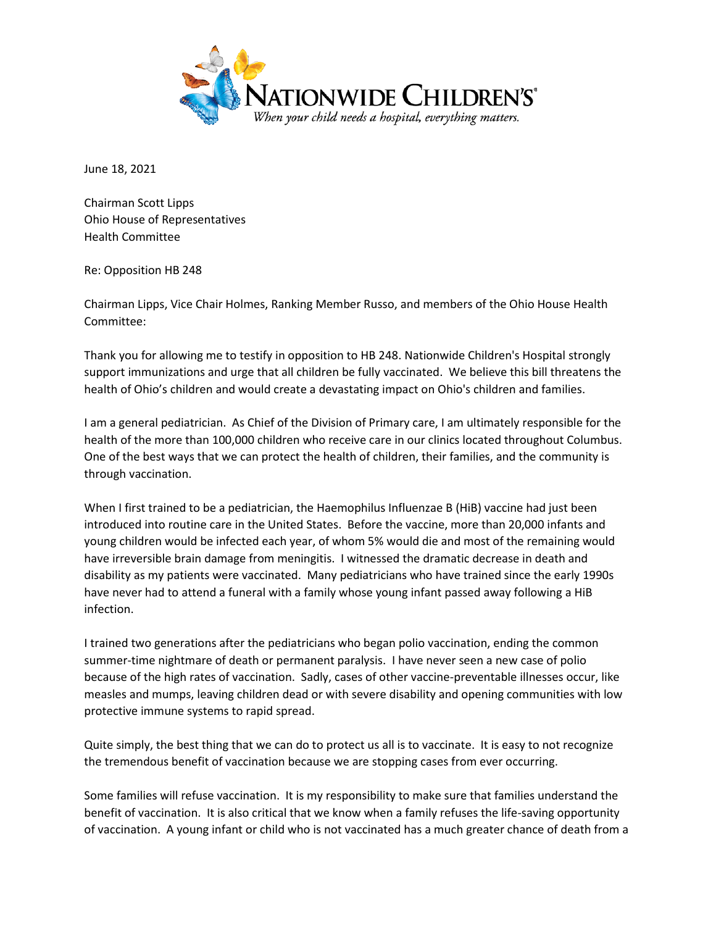

June 18, 2021

Chairman Scott Lipps Ohio House of Representatives Health Committee

Re: Opposition HB 248

Chairman Lipps, Vice Chair Holmes, Ranking Member Russo, and members of the Ohio House Health Committee:

Thank you for allowing me to testify in opposition to HB 248. Nationwide Children's Hospital strongly support immunizations and urge that all children be fully vaccinated. We believe this bill threatens the health of Ohio's children and would create a devastating impact on Ohio's children and families.

I am a general pediatrician. As Chief of the Division of Primary care, I am ultimately responsible for the health of the more than 100,000 children who receive care in our clinics located throughout Columbus. One of the best ways that we can protect the health of children, their families, and the community is through vaccination.

When I first trained to be a pediatrician, the Haemophilus Influenzae B (HiB) vaccine had just been introduced into routine care in the United States. Before the vaccine, more than 20,000 infants and young children would be infected each year, of whom 5% would die and most of the remaining would have irreversible brain damage from meningitis. I witnessed the dramatic decrease in death and disability as my patients were vaccinated. Many pediatricians who have trained since the early 1990s have never had to attend a funeral with a family whose young infant passed away following a HiB infection.

I trained two generations after the pediatricians who began polio vaccination, ending the common summer-time nightmare of death or permanent paralysis. I have never seen a new case of polio because of the high rates of vaccination. Sadly, cases of other vaccine-preventable illnesses occur, like measles and mumps, leaving children dead or with severe disability and opening communities with low protective immune systems to rapid spread.

Quite simply, the best thing that we can do to protect us all is to vaccinate. It is easy to not recognize the tremendous benefit of vaccination because we are stopping cases from ever occurring.

Some families will refuse vaccination. It is my responsibility to make sure that families understand the benefit of vaccination. It is also critical that we know when a family refuses the life-saving opportunity of vaccination. A young infant or child who is not vaccinated has a much greater chance of death from a